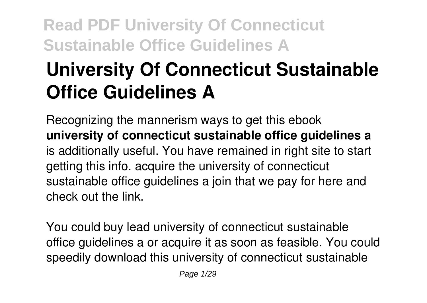# **University Of Connecticut Sustainable Office Guidelines A**

Recognizing the mannerism ways to get this ebook **university of connecticut sustainable office guidelines a** is additionally useful. You have remained in right site to start getting this info. acquire the university of connecticut sustainable office guidelines a join that we pay for here and check out the link.

You could buy lead university of connecticut sustainable office guidelines a or acquire it as soon as feasible. You could speedily download this university of connecticut sustainable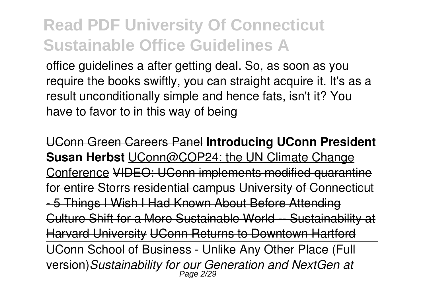office guidelines a after getting deal. So, as soon as you require the books swiftly, you can straight acquire it. It's as a result unconditionally simple and hence fats, isn't it? You have to favor to in this way of being

UConn Green Careers Panel **Introducing UConn President Susan Herbst** UConn@COP24: the UN Climate Change Conference VIDEO: UConn implements modified quarantine for entire Storrs residential campus University of Connecticut - 5 Things I Wish I Had Known About Before Attending Culture Shift for a More Sustainable World -- Sustainability Harvard University UConn Returns to Downtown Hartford UConn School of Business - Unlike Any Other Place (Full version)*Sustainability for our Generation and NextGen at* Page 2/29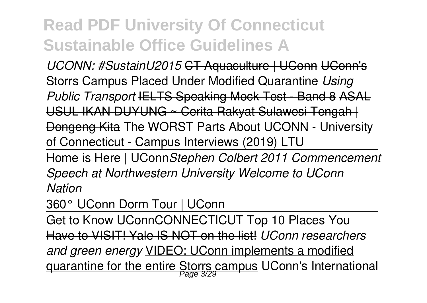*UCONN: #SustainU2015* CT Aquaculture | UConn UConn's Storrs Campus Placed Under Modified Quarantine *Using Public Transport* IELTS Speaking Mock Test - Band 8 ASAL USUL IKAN DUYUNG ~ Cerita Rakyat Sulawesi Tengah | Dongeng Kita The WORST Parts About UCONN - University of Connecticut - Campus Interviews (2019) LTU

Home is Here | UConn*Stephen Colbert 2011 Commencement Speech at Northwestern University Welcome to UConn Nation*

360° UConn Dorm Tour | UConn

Get to Know UConn<del>CONNECTICUT Top 10 Places You</del> Have to VISIT! Yale IS NOT on the list! *UConn researchers and green energy* VIDEO: UConn implements a modified quarantine for the entire Storrs campus UConn's International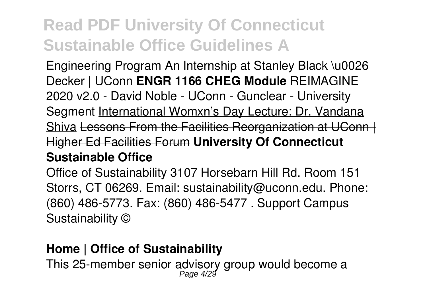Engineering Program An Internship at Stanley Black \u0026 Decker | UConn **ENGR 1166 CHEG Module** REIMAGINE 2020 v2.0 - David Noble - UConn - Gunclear - University Segment International Womxn's Day Lecture: Dr. Vandana Shiva Lessons From the Facilities Reorganization at UConn | Higher Ed Facilities Forum **University Of Connecticut Sustainable Office**

Office of Sustainability 3107 Horsebarn Hill Rd. Room 151 Storrs, CT 06269. Email: sustainability@uconn.edu. Phone: (860) 486-5773. Fax: (860) 486-5477 . Support Campus Sustainability ©

#### **Home | Office of Sustainability**

This 25-member senior advisory group would become a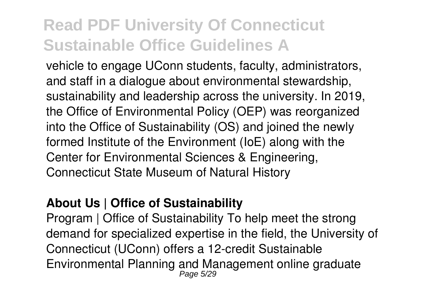vehicle to engage UConn students, faculty, administrators, and staff in a dialogue about environmental stewardship, sustainability and leadership across the university. In 2019, the Office of Environmental Policy (OEP) was reorganized into the Office of Sustainability (OS) and joined the newly formed Institute of the Environment (IoE) along with the Center for Environmental Sciences & Engineering, Connecticut State Museum of Natural History

#### **About Us | Office of Sustainability**

Program | Office of Sustainability To help meet the strong demand for specialized expertise in the field, the University of Connecticut (UConn) offers a 12-credit Sustainable Environmental Planning and Management online graduate Page 5/29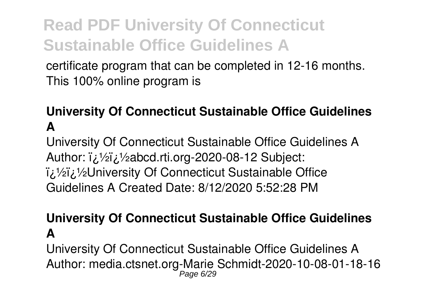certificate program that can be completed in 12-16 months. This 100% online program is

#### **University Of Connecticut Sustainable Office Guidelines A**

University Of Connecticut Sustainable Office Guidelines A Author: i¿1/2i¿1/2abcd.rti.org-2020-08-12 Subject:  $\frac{1}{2}$ زة/¿University Of Connecticut Sustainable Office Guidelines A Created Date: 8/12/2020 5:52:28 PM

#### **University Of Connecticut Sustainable Office Guidelines A**

University Of Connecticut Sustainable Office Guidelines A Author: media.ctsnet.org-Marie Schmidt-2020-10-08-01-18-16 Page 6/29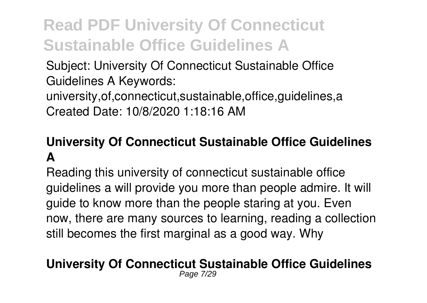Subject: University Of Connecticut Sustainable Office Guidelines A Keywords:

university,of,connecticut,sustainable,office,guidelines,a Created Date: 10/8/2020 1:18:16 AM

#### **University Of Connecticut Sustainable Office Guidelines A**

Reading this university of connecticut sustainable office guidelines a will provide you more than people admire. It will guide to know more than the people staring at you. Even now, there are many sources to learning, reading a collection still becomes the first marginal as a good way. Why

#### **University Of Connecticut Sustainable Office Guidelines** Page 7/29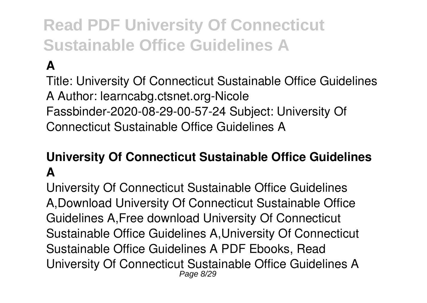**A**

Title: University Of Connecticut Sustainable Office Guidelines A Author: learncabg.ctsnet.org-Nicole Fassbinder-2020-08-29-00-57-24 Subject: University Of Connecticut Sustainable Office Guidelines A

#### **University Of Connecticut Sustainable Office Guidelines A**

University Of Connecticut Sustainable Office Guidelines A,Download University Of Connecticut Sustainable Office Guidelines A,Free download University Of Connecticut Sustainable Office Guidelines A,University Of Connecticut Sustainable Office Guidelines A PDF Ebooks, Read University Of Connecticut Sustainable Office Guidelines A Page 8/29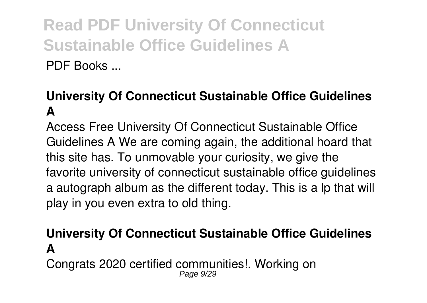#### **University Of Connecticut Sustainable Office Guidelines A**

Access Free University Of Connecticut Sustainable Office Guidelines A We are coming again, the additional hoard that this site has. To unmovable your curiosity, we give the favorite university of connecticut sustainable office guidelines a autograph album as the different today. This is a lp that will play in you even extra to old thing.

#### **University Of Connecticut Sustainable Office Guidelines A**

Congrats 2020 certified communities!. Working on Page 9/29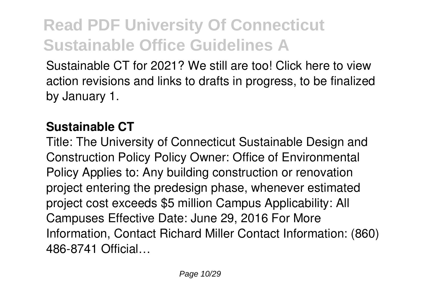Sustainable CT for 2021? We still are too! Click here to view action revisions and links to drafts in progress, to be finalized by January 1.

#### **Sustainable CT**

Title: The University of Connecticut Sustainable Design and Construction Policy Policy Owner: Office of Environmental Policy Applies to: Any building construction or renovation project entering the predesign phase, whenever estimated project cost exceeds \$5 million Campus Applicability: All Campuses Effective Date: June 29, 2016 For More Information, Contact Richard Miller Contact Information: (860) 486-8741 Official…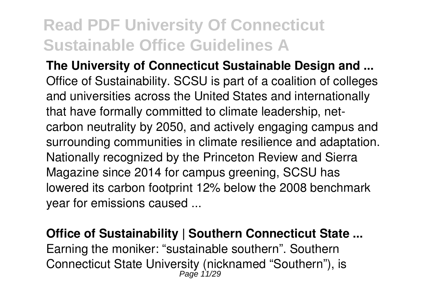**The University of Connecticut Sustainable Design and ...** Office of Sustainability. SCSU is part of a coalition of colleges and universities across the United States and internationally that have formally committed to climate leadership, netcarbon neutrality by 2050, and actively engaging campus and surrounding communities in climate resilience and adaptation. Nationally recognized by the Princeton Review and Sierra Magazine since 2014 for campus greening, SCSU has lowered its carbon footprint 12% below the 2008 benchmark year for emissions caused ...

#### **Office of Sustainability | Southern Connecticut State ...** Earning the moniker: "sustainable southern". Southern Connecticut State University (nicknamed "Southern"), is Page 11/29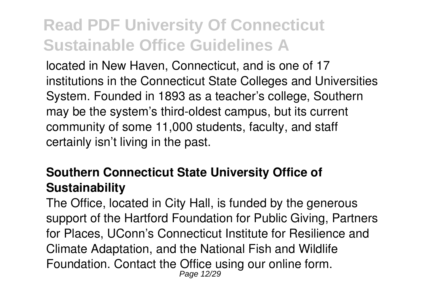located in New Haven, Connecticut, and is one of 17 institutions in the Connecticut State Colleges and Universities System. Founded in 1893 as a teacher's college, Southern may be the system's third-oldest campus, but its current community of some 11,000 students, faculty, and staff certainly isn't living in the past.

#### **Southern Connecticut State University Office of Sustainability**

The Office, located in City Hall, is funded by the generous support of the Hartford Foundation for Public Giving, Partners for Places, UConn's Connecticut Institute for Resilience and Climate Adaptation, and the National Fish and Wildlife Foundation. Contact the Office using our online form. Page 12/29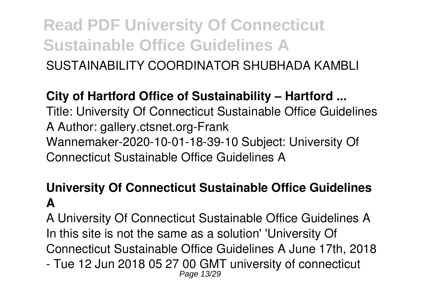SUSTAINABILITY COORDINATOR SHUBHADA KAMBLI

#### **City of Hartford Office of Sustainability – Hartford ...**

Title: University Of Connecticut Sustainable Office Guidelines A Author: gallery.ctsnet.org-Frank Wannemaker-2020-10-01-18-39-10 Subject: University Of Connecticut Sustainable Office Guidelines A

#### **University Of Connecticut Sustainable Office Guidelines A**

A University Of Connecticut Sustainable Office Guidelines A In this site is not the same as a solution' 'University Of Connecticut Sustainable Office Guidelines A June 17th, 2018 - Tue 12 Jun 2018 05 27 00 GMT university of connecticut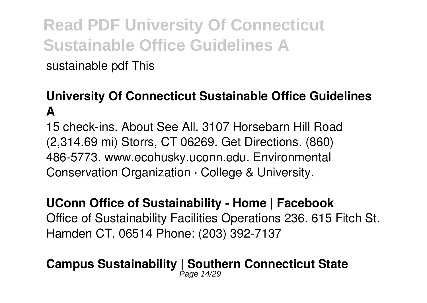sustainable pdf This

#### **University Of Connecticut Sustainable Office Guidelines A**

15 check-ins. About See All. 3107 Horsebarn Hill Road (2,314.69 mi) Storrs, CT 06269. Get Directions. (860) 486-5773. www.ecohusky.uconn.edu. Environmental Conservation Organization · College & University.

#### **UConn Office of Sustainability - Home | Facebook** Office of Sustainability Facilities Operations 236. 615 Fitch St. Hamden CT, 06514 Phone: (203) 392-7137

# **Campus Sustainability | Southern Connecticut State** Page 14/29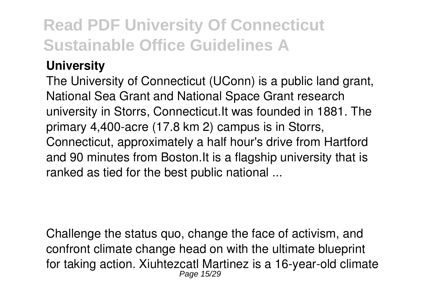#### **University**

The University of Connecticut (UConn) is a public land grant, National Sea Grant and National Space Grant research university in Storrs, Connecticut.It was founded in 1881. The primary 4,400-acre (17.8 km 2) campus is in Storrs, Connecticut, approximately a half hour's drive from Hartford and 90 minutes from Boston.It is a flagship university that is ranked as tied for the best public national ...

Challenge the status quo, change the face of activism, and confront climate change head on with the ultimate blueprint for taking action. Xiuhtezcatl Martinez is a 16-year-old climate Page 15/29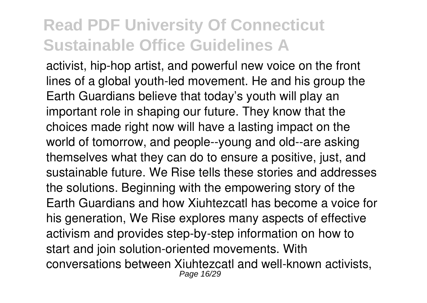activist, hip-hop artist, and powerful new voice on the front lines of a global youth-led movement. He and his group the Earth Guardians believe that today's youth will play an important role in shaping our future. They know that the choices made right now will have a lasting impact on the world of tomorrow, and people--young and old--are asking themselves what they can do to ensure a positive, just, and sustainable future. We Rise tells these stories and addresses the solutions. Beginning with the empowering story of the Earth Guardians and how Xiuhtezcatl has become a voice for his generation, We Rise explores many aspects of effective activism and provides step-by-step information on how to start and join solution-oriented movements. With conversations between Xiuhtezcatl and well-known activists, Page 16/29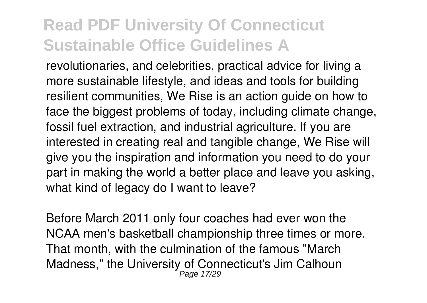revolutionaries, and celebrities, practical advice for living a more sustainable lifestyle, and ideas and tools for building resilient communities, We Rise is an action guide on how to face the biggest problems of today, including climate change, fossil fuel extraction, and industrial agriculture. If you are interested in creating real and tangible change, We Rise will give you the inspiration and information you need to do your part in making the world a better place and leave you asking, what kind of legacy do I want to leave?

Before March 2011 only four coaches had ever won the NCAA men's basketball championship three times or more. That month, with the culmination of the famous "March Madness," the University of Connecticut's Jim Calhoun Page 17/29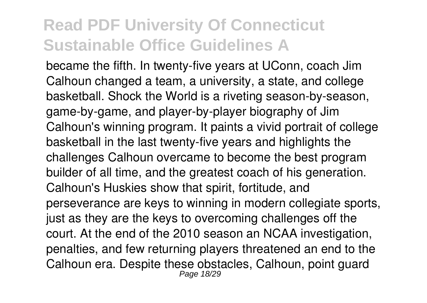became the fifth. In twenty-five years at UConn, coach Jim Calhoun changed a team, a university, a state, and college basketball. Shock the World is a riveting season-by-season, game-by-game, and player-by-player biography of Jim Calhoun's winning program. It paints a vivid portrait of college basketball in the last twenty-five years and highlights the challenges Calhoun overcame to become the best program builder of all time, and the greatest coach of his generation. Calhoun's Huskies show that spirit, fortitude, and perseverance are keys to winning in modern collegiate sports, just as they are the keys to overcoming challenges off the court. At the end of the 2010 season an NCAA investigation, penalties, and few returning players threatened an end to the Calhoun era. Despite these obstacles, Calhoun, point guard Page 18/29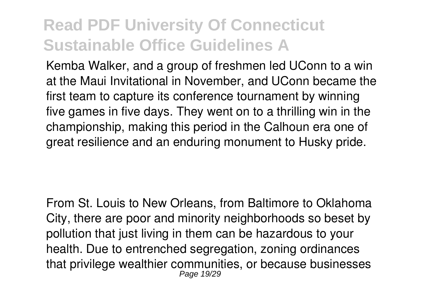Kemba Walker, and a group of freshmen led UConn to a win at the Maui Invitational in November, and UConn became the first team to capture its conference tournament by winning five games in five days. They went on to a thrilling win in the championship, making this period in the Calhoun era one of great resilience and an enduring monument to Husky pride.

From St. Louis to New Orleans, from Baltimore to Oklahoma City, there are poor and minority neighborhoods so beset by pollution that just living in them can be hazardous to your health. Due to entrenched segregation, zoning ordinances that privilege wealthier communities, or because businesses Page 19/29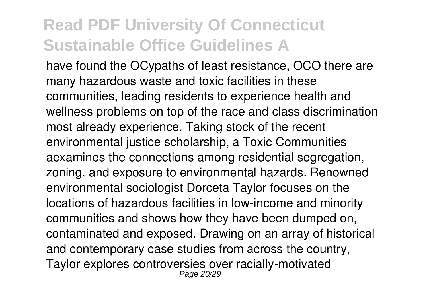have found the OCypaths of least resistance, OCO there are many hazardous waste and toxic facilities in these communities, leading residents to experience health and wellness problems on top of the race and class discrimination most already experience. Taking stock of the recent environmental justice scholarship, a Toxic Communities aexamines the connections among residential segregation, zoning, and exposure to environmental hazards. Renowned environmental sociologist Dorceta Taylor focuses on the locations of hazardous facilities in low-income and minority communities and shows how they have been dumped on, contaminated and exposed. Drawing on an array of historical and contemporary case studies from across the country, Taylor explores controversies over racially-motivated Page 20/29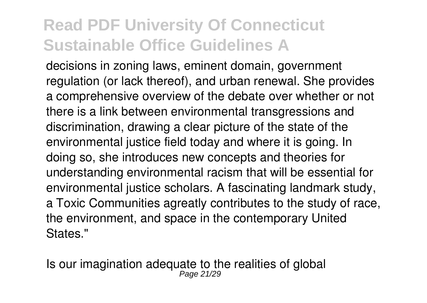decisions in zoning laws, eminent domain, government regulation (or lack thereof), and urban renewal. She provides a comprehensive overview of the debate over whether or not there is a link between environmental transgressions and discrimination, drawing a clear picture of the state of the environmental justice field today and where it is going. In doing so, she introduces new concepts and theories for understanding environmental racism that will be essential for environmental justice scholars. A fascinating landmark study, a Toxic Communities agreatly contributes to the study of race, the environment, and space in the contemporary United States."

Is our imagination adequate to the realities of global Page 21/29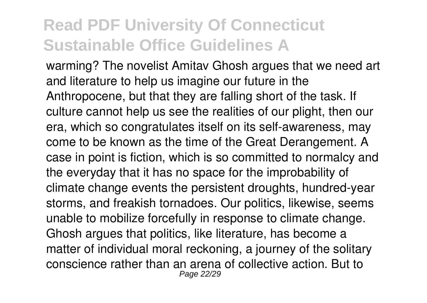warming? The novelist Amitav Ghosh argues that we need art and literature to help us imagine our future in the Anthropocene, but that they are falling short of the task. If culture cannot help us see the realities of our plight, then our era, which so congratulates itself on its self-awareness, may come to be known as the time of the Great Derangement. A case in point is fiction, which is so committed to normalcy and the everyday that it has no space for the improbability of climate change events the persistent droughts, hundred-year storms, and freakish tornadoes. Our politics, likewise, seems unable to mobilize forcefully in response to climate change. Ghosh argues that politics, like literature, has become a matter of individual moral reckoning, a journey of the solitary conscience rather than an arena of collective action. But to Page 22/29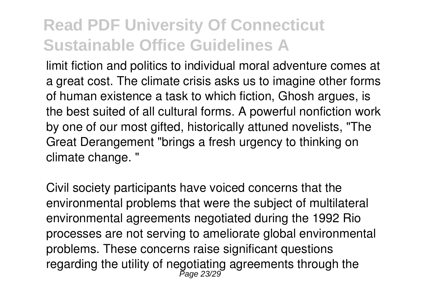limit fiction and politics to individual moral adventure comes at a great cost. The climate crisis asks us to imagine other forms of human existence a task to which fiction, Ghosh argues, is the best suited of all cultural forms. A powerful nonfiction work by one of our most gifted, historically attuned novelists, "The Great Derangement "brings a fresh urgency to thinking on climate change. "

Civil society participants have voiced concerns that the environmental problems that were the subject of multilateral environmental agreements negotiated during the 1992 Rio processes are not serving to ameliorate global environmental problems. These concerns raise significant questions regarding the utility of negotiating agreements through the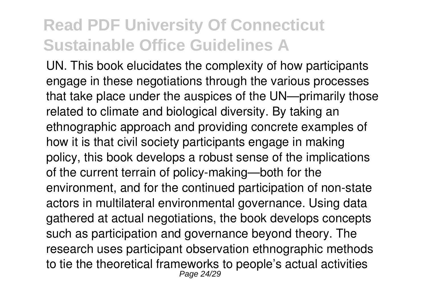UN. This book elucidates the complexity of how participants engage in these negotiations through the various processes that take place under the auspices of the UN—primarily those related to climate and biological diversity. By taking an ethnographic approach and providing concrete examples of how it is that civil society participants engage in making policy, this book develops a robust sense of the implications of the current terrain of policy-making—both for the environment, and for the continued participation of non-state actors in multilateral environmental governance. Using data gathered at actual negotiations, the book develops concepts such as participation and governance beyond theory. The research uses participant observation ethnographic methods to tie the theoretical frameworks to people's actual activities Page 24/29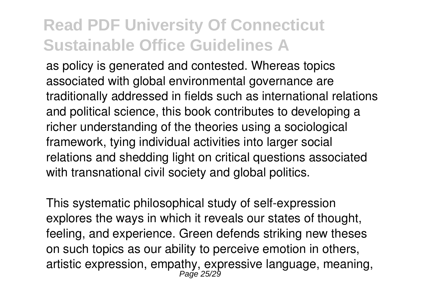as policy is generated and contested. Whereas topics associated with global environmental governance are traditionally addressed in fields such as international relations and political science, this book contributes to developing a richer understanding of the theories using a sociological framework, tying individual activities into larger social relations and shedding light on critical questions associated with transnational civil society and global politics.

This systematic philosophical study of self-expression explores the ways in which it reveals our states of thought, feeling, and experience. Green defends striking new theses on such topics as our ability to perceive emotion in others, artistic expression, empathy, expressive language, meaning,<br>Page 25/29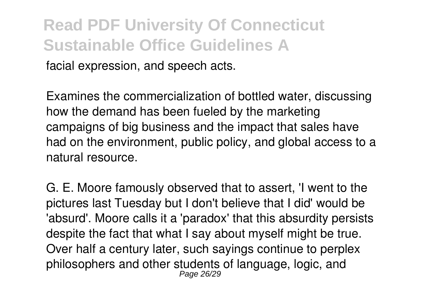facial expression, and speech acts.

Examines the commercialization of bottled water, discussing how the demand has been fueled by the marketing campaigns of big business and the impact that sales have had on the environment, public policy, and global access to a natural resource.

G. E. Moore famously observed that to assert, 'I went to the pictures last Tuesday but I don't believe that I did' would be 'absurd'. Moore calls it a 'paradox' that this absurdity persists despite the fact that what I say about myself might be true. Over half a century later, such sayings continue to perplex philosophers and other students of language, logic, and Page 26/29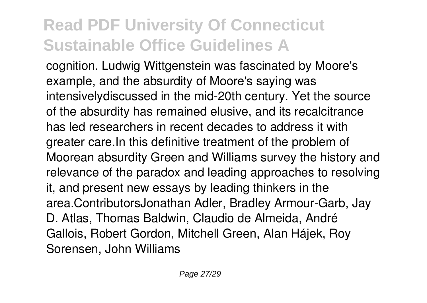cognition. Ludwig Wittgenstein was fascinated by Moore's example, and the absurdity of Moore's saying was intensivelydiscussed in the mid-20th century. Yet the source of the absurdity has remained elusive, and its recalcitrance has led researchers in recent decades to address it with greater care.In this definitive treatment of the problem of Moorean absurdity Green and Williams survey the history and relevance of the paradox and leading approaches to resolving it, and present new essays by leading thinkers in the area.ContributorsJonathan Adler, Bradley Armour-Garb, Jay D. Atlas, Thomas Baldwin, Claudio de Almeida, André Gallois, Robert Gordon, Mitchell Green, Alan Hájek, Roy Sorensen, John Williams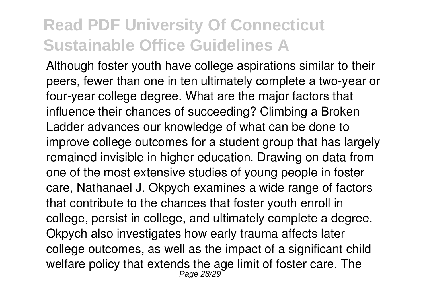Although foster youth have college aspirations similar to their peers, fewer than one in ten ultimately complete a two-year or four-year college degree. What are the major factors that influence their chances of succeeding? Climbing a Broken Ladder advances our knowledge of what can be done to improve college outcomes for a student group that has largely remained invisible in higher education. Drawing on data from one of the most extensive studies of young people in foster care, Nathanael J. Okpych examines a wide range of factors that contribute to the chances that foster youth enroll in college, persist in college, and ultimately complete a degree. Okpych also investigates how early trauma affects later college outcomes, as well as the impact of a significant child welfare policy that extends the age limit of foster care. The Page 28/29